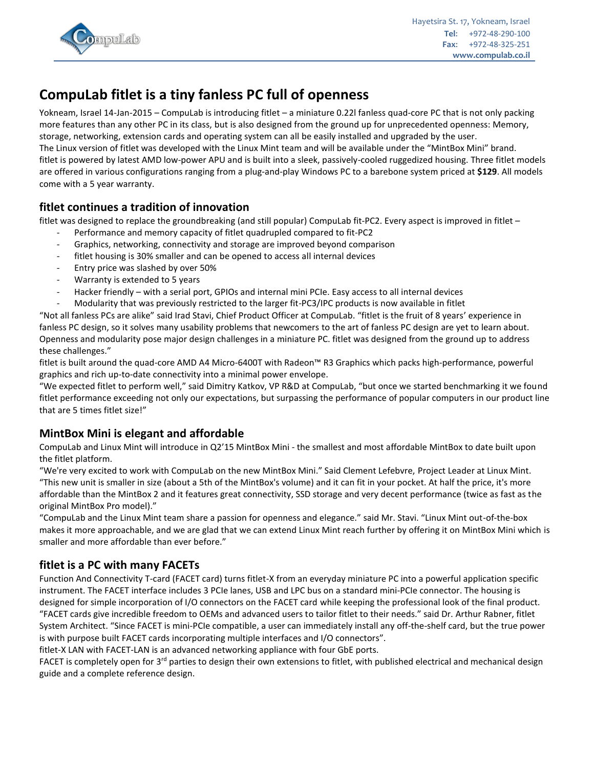

# **CompuLab fitlet is a tiny fanless PC full of openness**

Yokneam, Israel 14-Jan-2015 – CompuLab is introducing fitlet – a miniature 0.22l fanless quad-core PC that is not only packing more features than any other PC in its class, but is also designed from the ground up for unprecedented openness: Memory, storage, networking, extension cards and operating system can all be easily installed and upgraded by the user. The Linux version of fitlet was developed with the Linux Mint team and will be available under the "MintBox Mini" brand. fitlet is powered by latest AMD low-power APU and is built into a sleek, passively-cooled ruggedized housing. Three fitlet models are offered in various configurations ranging from a plug-and-play Windows PC to a barebone system priced at **\$129**. All models come with a 5 year warranty.

## **fitlet continues a tradition of innovation**

fitlet was designed to replace the groundbreaking (and still popular) CompuLab fit-PC2. Every aspect is improved in fitlet –

- Performance and memory capacity of fitlet quadrupled compared to fit-PC2
- Graphics, networking, connectivity and storage are improved beyond comparison
- fitlet housing is 30% smaller and can be opened to access all internal devices
- Entry price was slashed by over 50%
- Warranty is extended to 5 years
- Hacker friendly with a serial port, GPIOs and internal mini PCIe. Easy access to all internal devices

- Modularity that was previously restricted to the larger fit-PC3/IPC products is now available in fitlet

"Not all fanless PCs are alike" said Irad Stavi, Chief Product Officer at CompuLab. "fitlet is the fruit of 8 years' experience in fanless PC design, so it solves many usability problems that newcomers to the art of fanless PC design are yet to learn about. Openness and modularity pose major design challenges in a miniature PC. fitlet was designed from the ground up to address these challenges."

fitlet is built around the quad-core AMD A4 Micro-6400T with Radeon™ R3 Graphics which packs high-performance, powerful graphics and rich up-to-date connectivity into a minimal power envelope.

"We expected fitlet to perform well," said Dimitry Katkov, VP R&D at CompuLab, "but once we started benchmarking it we found fitlet performance exceeding not only our expectations, but surpassing the performance of popular computers in our product line that are 5 times fitlet size!"

# **MintBox Mini is elegant and affordable**

CompuLab and Linux Mint will introduce in Q2'15 MintBox Mini - the smallest and most affordable MintBox to date built upon the fitlet platform.

"We're very excited to work with CompuLab on the new MintBox Mini." Said Clement Lefebvre, Project Leader at Linux Mint. "This new unit is smaller in size (about a 5th of the MintBox's volume) and it can fit in your pocket. At half the price, it's more affordable than the MintBox 2 and it features great connectivity, SSD storage and very decent performance (twice as fast as the original MintBox Pro model)."

"CompuLab and the Linux Mint team share a passion for openness and elegance." said Mr. Stavi. "Linux Mint out-of-the-box makes it more approachable, and we are glad that we can extend Linux Mint reach further by offering it on MintBox Mini which is smaller and more affordable than ever before."

# **fitlet is a PC with many FACETs**

Function And Connectivity T-card (FACET card) turns fitlet-X from an everyday miniature PC into a powerful application specific instrument. The FACET interface includes 3 PCIe lanes, USB and LPC bus on a standard mini-PCIe connector. The housing is designed for simple incorporation of I/O connectors on the FACET card while keeping the professional look of the final product. "FACET cards give incredible freedom to OEMs and advanced users to tailor fitlet to their needs." said Dr. Arthur Rabner, fitlet System Architect. "Since FACET is mini-PCIe compatible, a user can immediately install any off-the-shelf card, but the true power is with purpose built FACET cards incorporating multiple interfaces and I/O connectors".

fitlet-X LAN with FACET-LAN is an advanced networking appliance with four GbE ports.

FACET is completely open for 3<sup>rd</sup> parties to design their own extensions to fitlet, with published electrical and mechanical design guide and a complete reference design.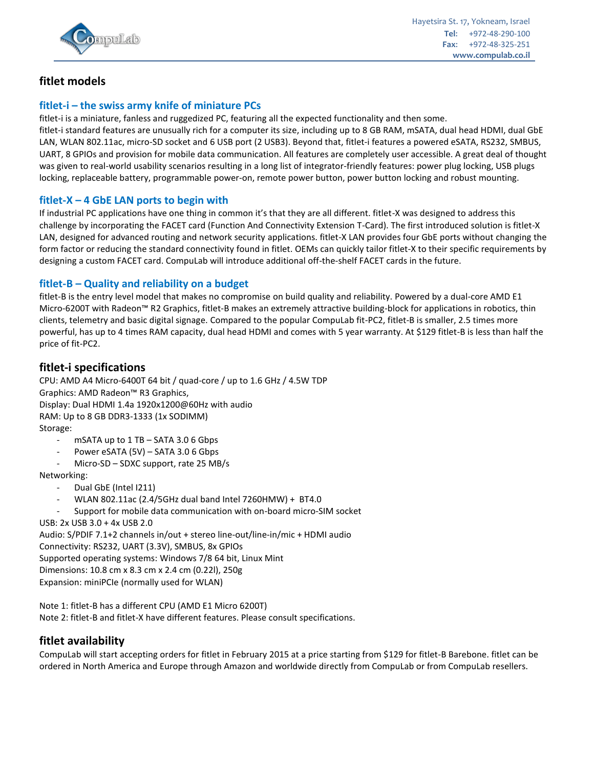

## **fitlet models**

## **fitlet-i – the swiss army knife of miniature PCs**

fitlet-i is a miniature, fanless and ruggedized PC, featuring all the expected functionality and then some.

fitlet-i standard features are unusually rich for a computer its size, including up to 8 GB RAM, mSATA, dual head HDMI, dual GbE LAN, WLAN 802.11ac, micro-SD socket and 6 USB port (2 USB3). Beyond that, fitlet-i features a powered eSATA, RS232, SMBUS, UART, 8 GPIOs and provision for mobile data communication. All features are completely user accessible. A great deal of thought was given to real-world usability scenarios resulting in a long list of integrator-friendly features: power plug locking, USB plugs locking, replaceable battery, programmable power-on, remote power button, power button locking and robust mounting.

#### **fitlet-X – 4 GbE LAN ports to begin with**

If industrial PC applications have one thing in common it's that they are all different. fitlet-X was designed to address this challenge by incorporating the FACET card (Function And Connectivity Extension T-Card). The first introduced solution is fitlet-X LAN, designed for advanced routing and network security applications. fitlet-X LAN provides four GbE ports without changing the form factor or reducing the standard connectivity found in fitlet. OEMs can quickly tailor fitlet-X to their specific requirements by designing a custom FACET card. CompuLab will introduce additional off-the-shelf FACET cards in the future.

#### **fitlet-B – Quality and reliability on a budget**

fitlet-B is the entry level model that makes no compromise on build quality and reliability. Powered by a dual-core AMD E1 Micro-6200T with Radeon™ R2 Graphics, fitlet-B makes an extremely attractive building-block for applications in robotics, thin clients, telemetry and basic digital signage. Compared to the popular CompuLab fit-PC2, fitlet-B is smaller, 2.5 times more powerful, has up to 4 times RAM capacity, dual head HDMI and comes with 5 year warranty. At \$129 fitlet-B is less than half the price of fit-PC2.

## **fitlet-i specifications**

CPU: AMD A4 Micro-6400T 64 bit / quad-core / up to 1.6 GHz / 4.5W TDP Graphics: AMD Radeon™ R3 Graphics, Display: Dual HDMI 1.4a 1920x1200@60Hz with audio RAM: Up to 8 GB DDR3-1333 (1x SODIMM) Storage:

- $m$ SATA up to 1 TB SATA 3.0 6 Gbps
- Power eSATA (5V) SATA 3.0 6 Gbps
- Micro-SD SDXC support, rate 25 MB/s

Networking:

- Dual GbE (Intel I211)
- WLAN 802.11ac (2.4/5GHz dual band Intel 7260HMW) + BT4.0
- Support for mobile data communication with on-board micro-SIM socket
- USB: 2x USB 3.0 + 4x USB 2.0

Audio: S/PDIF 7.1+2 channels in/out + stereo line-out/line-in/mic + HDMI audio Connectivity: RS232, UART (3.3V), SMBUS, 8x GPIOs Supported operating systems: Windows 7/8 64 bit, Linux Mint Dimensions: 10.8 cm x 8.3 cm x 2.4 cm (0.22l), 250g Expansion: miniPCIe (normally used for WLAN)

Note 1: fitlet-B has a different CPU (AMD E1 Micro 6200T) Note 2: fitlet-B and fitlet-X have different features. Please consult specifications.

## **fitlet availability**

CompuLab will start accepting orders for fitlet in February 2015 at a price starting from \$129 for fitlet-B Barebone. fitlet can be ordered in North America and Europe through Amazon and worldwide directly from CompuLab or from CompuLab resellers.